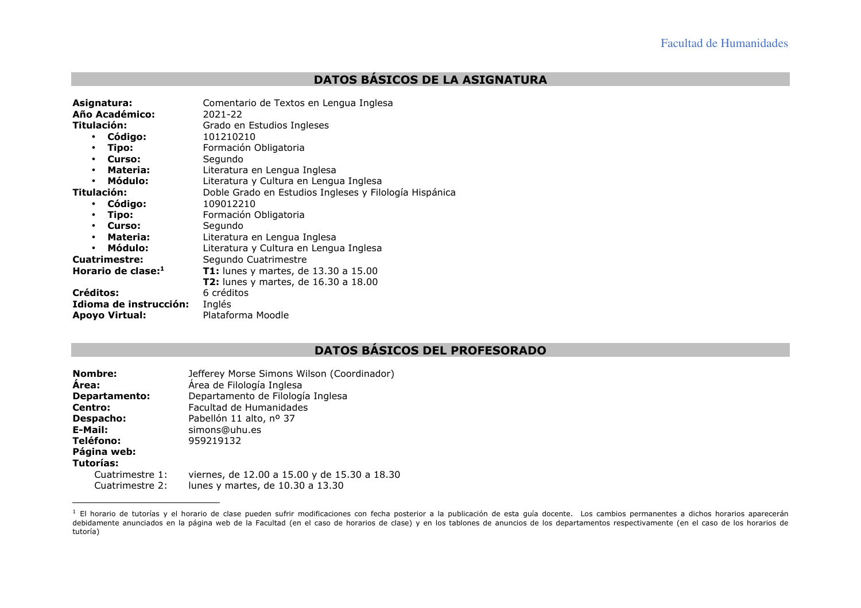## **DATOS BÁSICOS DE LA ASIGNATURA**

| Asignatura:<br>Año Académico:<br>Titulación:<br>· Código:<br>Tipo:<br>$\bullet$<br>Curso:<br>$\bullet$<br>• Materia:<br>Módulo:<br>$\bullet$<br>Titulación:<br>Código:<br>$\bullet$<br>Tipo:<br>$\bullet$<br>Curso:<br>$\bullet$<br>Materia:<br>$\bullet$<br>Módulo:<br>$\bullet$<br><b>Cuatrimestre:</b><br>Horario de clase:1<br>Créditos: | Comentario de Textos en Lengua Inglesa<br>2021-22<br>Grado en Estudios Ingleses<br>101210210<br>Formación Obligatoria<br>Segundo<br>Literatura en Lengua Inglesa<br>Literatura y Cultura en Lengua Inglesa<br>Doble Grado en Estudios Ingleses y Filología Hispánica<br>109012210<br>Formación Obligatoria<br>Segundo<br>Literatura en Lengua Inglesa<br>Literatura y Cultura en Lengua Inglesa<br>Segundo Cuatrimestre<br>T1: lunes y martes, de 13.30 a 15.00<br><b>T2:</b> lunes y martes, de 16.30 a 18.00<br>6 créditos |
|----------------------------------------------------------------------------------------------------------------------------------------------------------------------------------------------------------------------------------------------------------------------------------------------------------------------------------------------|------------------------------------------------------------------------------------------------------------------------------------------------------------------------------------------------------------------------------------------------------------------------------------------------------------------------------------------------------------------------------------------------------------------------------------------------------------------------------------------------------------------------------|
| Idioma de instrucción:<br><b>Apovo Virtual:</b>                                                                                                                                                                                                                                                                                              | Inglés<br>Plataforma Moodle                                                                                                                                                                                                                                                                                                                                                                                                                                                                                                  |
|                                                                                                                                                                                                                                                                                                                                              |                                                                                                                                                                                                                                                                                                                                                                                                                                                                                                                              |

## **DATOS BÁSICOS DEL PROFESORADO**

| <b>Nombre:</b>                     | Jefferey Morse Simons Wilson (Coordinador)                                       |
|------------------------------------|----------------------------------------------------------------------------------|
| <b>Area:</b>                       | Área de Filología Inglesa                                                        |
| Departamento:                      | Departamento de Filología Inglesa                                                |
| Centro:                            | Facultad de Humanidades                                                          |
| Despacho:                          | Pabellón 11 alto, nº 37                                                          |
| E-Mail:                            | simons@uhu.es                                                                    |
| Teléfono:                          | 959219132                                                                        |
| Página web:                        |                                                                                  |
| Tutorías:                          |                                                                                  |
| Cuatrimestre 1:<br>Cuatrimestre 2: | viernes, de 12.00 a 15.00 y de 15.30 a 18.30<br>lunes y martes, de 10.30 a 13.30 |

<sup>&</sup>lt;sup>1</sup> El horario de tutorías y el horario de clase pueden sufrir modificaciones con fecha posterior a la publicación de esta guía docente. Los cambios permanentes a dichos horarios aparecerán<br>debidamente anunciados en la pág tutoría)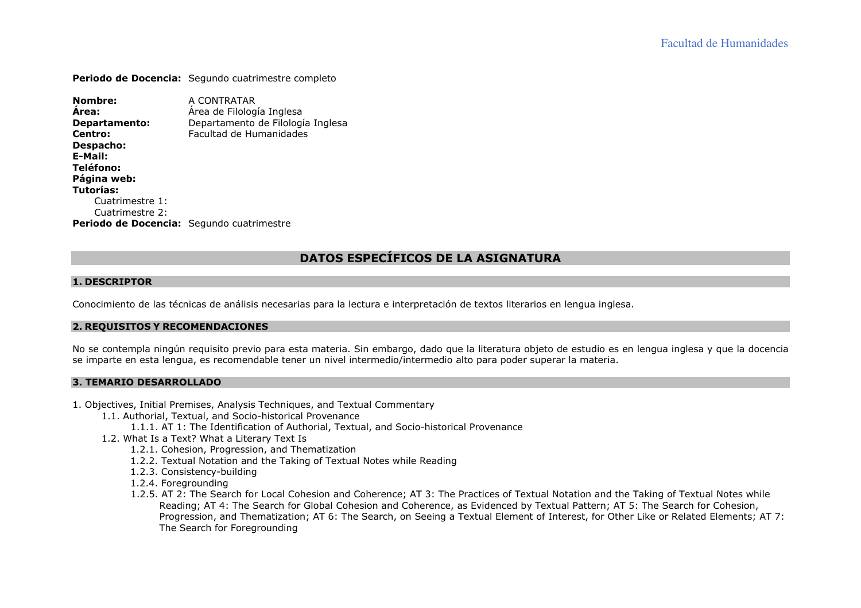**Periodo de Docencia:** Segundo cuatrimestre completo

**Nombre:** A CONTRATAR **Área:** Área de Filología Inglesa **Departamento:** Departamento de Filología Inglesa **Centro:** Facultad de Humanidades **Despacho: E-Mail: Teléfono: Página web: Tutorías:**  Cuatrimestre 1: Cuatrimestre 2: **Periodo de Docencia:** Segundo cuatrimestre

## **DATOS ESPECÍFICOS DE LA ASIGNATURA**

### **1. DESCRIPTOR**

Conocimiento de las técnicas de análisis necesarias para la lectura e interpretación de textos literarios en lengua inglesa.

## **2. REQUISITOS <sup>Y</sup> RECOMENDACIONES**

No se contempla ningún requisito previo para esta materia. Sin embargo, dado que la literatura objeto de estudio es en lengua inglesa y que la docencia se imparte en esta lengua, es recomendable tener un nivel intermedio/intermedio alto para poder superar la materia.

#### **3. TEMARIO DESARROLLADO**

- 1. Objectives, Initial Premises, Analysis Techniques, and Textual Commentary
	- 1.1. Authorial, Textual, and Socio-historical Provenance
		- 1.1.1. AT 1: The Identification of Authorial, Textual, and Socio-historical Provenance
	- 1.2. What Is a Text? What a Literary Text Is
		- 1.2.1. Cohesion, Progression, and Thematization
		- 1.2.2. Textual Notation and the Taking of Textual Notes while Reading
		- 1.2.3. Consistency-building
		- 1.2.4. Foregrounding
		- 1.2.5. AT 2: The Search for Local Cohesion and Coherence; AT 3: The Practices of Textual Notation and the Taking of Textual Notes while Reading; AT 4: The Search for Global Cohesion and Coherence, as Evidenced by Textual Pattern; AT 5: The Search for Cohesion, Progression, and Thematization; AT 6: The Search, on Seeing a Textual Element of Interest, for Other Like or Related Elements; AT 7: The Search for Foregrounding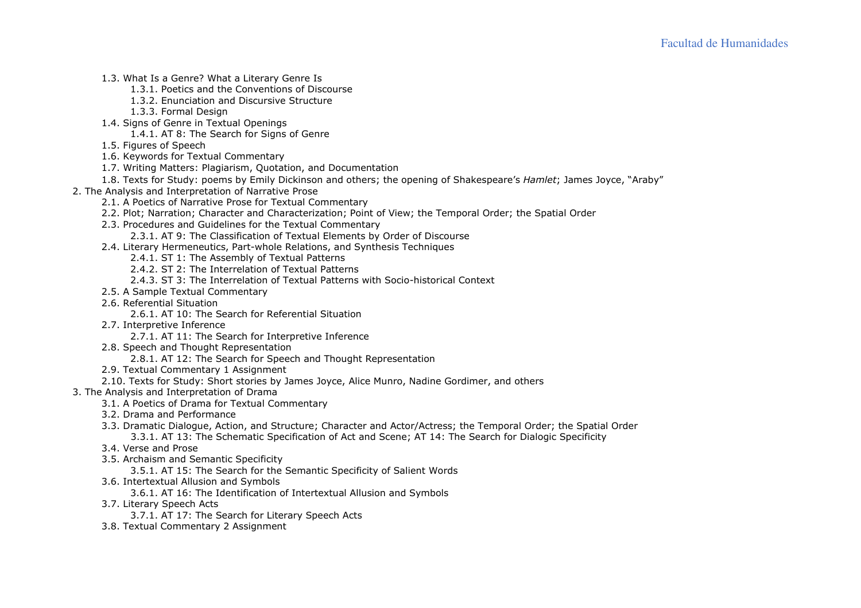- 1.3. What Is a Genre? What a Literary Genre Is
	- 1.3.1. Poetics and the Conventions of Discourse
	- 1.3.2. Enunciation and Discursive Structure
	- 1.3.3. Formal Design
- 1.4. Signs of Genre in Textual Openings
	- 1.4.1. AT 8: The Search for Signs of Genre
- 1.5. Figures of Speech
- 1.6. Keywords for Textual Commentary
- 1.7. Writing Matters: Plagiarism, Quotation, and Documentation
- 1.8. Texts for Study: poems by Emily Dickinson and others; the opening of Shakespeare's *Hamlet*; James Joyce, "Araby"
- 2. The Analysis and Interpretation of Narrative Prose
	- 2.1. A Poetics of Narrative Prose for Textual Commentary
	- 2.2. Plot; Narration; Character and Characterization; Point of View; the Temporal Order; the Spatial Order
	- 2.3. Procedures and Guidelines for the Textual Commentary
		- 2.3.1. AT 9: The Classification of Textual Elements by Order of Discourse
	- 2.4. Literary Hermeneutics, Part-whole Relations, and Synthesis Techniques
		- 2.4.1. ST 1: The Assembly of Textual Patterns
		- 2.4.2. ST 2: The Interrelation of Textual Patterns
		- 2.4.3. ST 3: The Interrelation of Textual Patterns with Socio-historical Context
	- 2.5. A Sample Textual Commentary
	- 2.6. Referential Situation
		- 2.6.1. AT 10: The Search for Referential Situation
	- 2.7. Interpretive Inference
		- 2.7.1. AT 11: The Search for Interpretive Inference
	- 2.8. Speech and Thought Representation
		- 2.8.1. AT 12: The Search for Speech and Thought Representation
	- 2.9. Textual Commentary 1 Assignment
	- 2.10. Texts for Study: Short stories by James Joyce, Alice Munro, Nadine Gordimer, and others
- 3. The Analysis and Interpretation of Drama
	- 3.1. A Poetics of Drama for Textual Commentary
	- 3.2. Drama and Performance
	- 3.3. Dramatic Dialogue, Action, and Structure; Character and Actor/Actress; the Temporal Order; the Spatial Order
		- 3.3.1. AT 13: The Schematic Specification of Act and Scene; AT 14: The Search for Dialogic Specificity
	- 3.4. Verse and Prose
	- 3.5. Archaism and Semantic Specificity
		- 3.5.1. AT 15: The Search for the Semantic Specificity of Salient Words
	- 3.6. Intertextual Allusion and Symbols
		- 3.6.1. AT 16: The Identification of Intertextual Allusion and Symbols
	- 3.7. Literary Speech Acts
		- 3.7.1. AT 17: The Search for Literary Speech Acts
	- 3.8. Textual Commentary 2 Assignment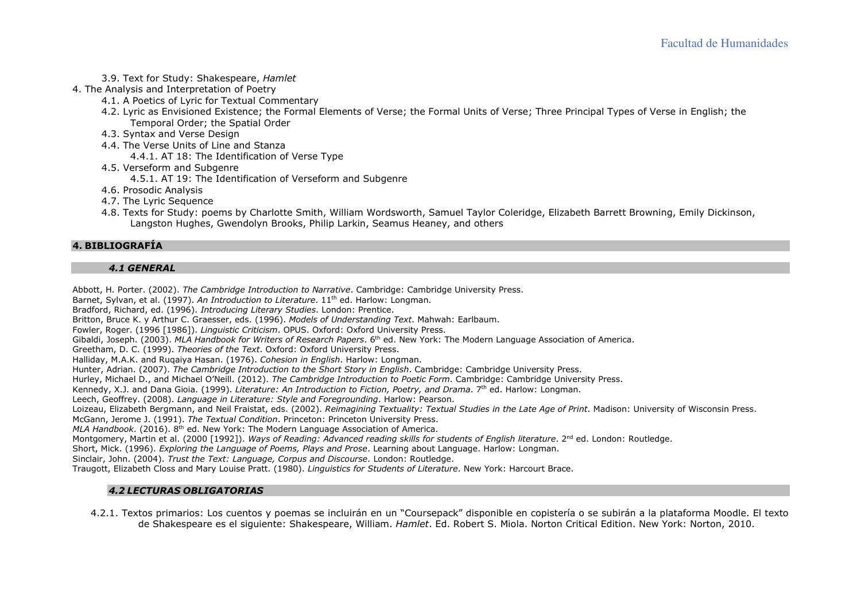- 3.9. Text for Study: Shakespeare, *Hamlet*
- 4. The Analysis and Interpretation of Poetry
	- 4.1. A Poetics of Lyric for Textual Commentary
	- 4.2. Lyric as Envisioned Existence; the Formal Elements of Verse; the Formal Units of Verse; Three Principal Types of Verse in English; the Temporal Order; the Spatial Order
	- 4.3. Syntax and Verse Design
	- 4.4. The Verse Units of Line and Stanza
		- 4.4.1. AT 18: The Identification of Verse Type
	- 4.5. Verseform and Subgenre
		- 4.5.1. AT 19: The Identification of Verseform and Subgenre
	- 4.6. Prosodic Analysis
	- 4.7. The Lyric Sequence
	- 4.8. Texts for Study: poems by Charlotte Smith, William Wordsworth, Samuel Taylor Coleridge, Elizabeth Barrett Browning, Emily Dickinson, Langston Hughes, Gwendolyn Brooks, Philip Larkin, Seamus Heaney, and others

### **4. BIBLIOGRAFÍA**

## *4.1 GENERAL*

Abbott, H. Porter. (2002). *The Cambridge Introduction to Narrative*. Cambridge: Cambridge University Press.

Barnet, Sylvan, et al. (1997). *An Introduction to Literature*. 11<sup>th</sup> ed. Harlow: Longman.

Bradford, Richard, ed. (1996). *Introducing Literary Studies*. London: Prentice.

Britton, Bruce K. y Arthur C. Graesser, eds. (1996). *Models of Understanding Text*. Mahwah: Earlbaum.

Fowler, Roger. (1996 [1986]). *Linguistic Criticism*. OPUS. Oxford: Oxford University Press.

Gibaldi, Joseph. (2003). *MLA Handbook for Writers of Research Papers*. 6th ed. New York: The Modern Language Association of America.

Greetham, D. C. (1999). *Theories of the Text*. Oxford: Oxford University Press.

Halliday, M.A.K. and Ruqaiya Hasan. (1976). *Cohesion in English*. Harlow: Longman.

Hunter, Adrian. (2007). *The Cambridge Introduction to the Short Story in English*. Cambridge: Cambridge University Press.

Hurley, Michael D., and Michael O'Neill. (2012). *The Cambridge Introduction to Poetic Form*. Cambridge: Cambridge University Press.

Kennedy, X.J. and Dana Gioia. (1999). *Literature: An Introduction to Fiction, Poetry, and Drama*. 7th ed. Harlow: Longman.

Leech, Geoffrey. (2008). *Language in Literature: Style and Foregrounding*. Harlow: Pearson.

Loizeau, Elizabeth Bergmann, and Neil Fraistat, eds. (2002). *Reimagining Textuality: Textual Studies in the Late Age of Print*. Madison: University of Wisconsin Press.

McGann, Jerome J. (1991). *The Textual Condition*. Princeton: Princeton University Press.

*MLA Handbook*. (2016). 8th ed. New York: The Modern Language Association of America.

Montgomery, Martin et al. (2000 [1992]). *Ways of Reading: Advanced reading skills for students of English literature*. 2<sup>nd</sup> ed. London: Routledge.

Short, Mick. (1996). *Exploring the Language of Poems, Plays and Prose*. Learning about Language. Harlow: Longman.

Sinclair, John. (2004). *Trust the Text: Language, Corpus and Discourse*. London: Routledge.

Traugott, Elizabeth Closs and Mary Louise Pratt. (1980). *Linguistics for Students of Literature*. New York: Harcourt Brace.

# *4.2 LECTURAS OBLIGATORIAS*

4.2.1. Textos primarios: Los cuentos y poemas se incluirán en un "Coursepack" disponible en copistería o se subirán a la plataforma Moodle. El texto de Shakespeare es el siguiente: Shakespeare, William. *Hamlet*. Ed. Robert S. Miola. Norton Critical Edition. New York: Norton, 2010.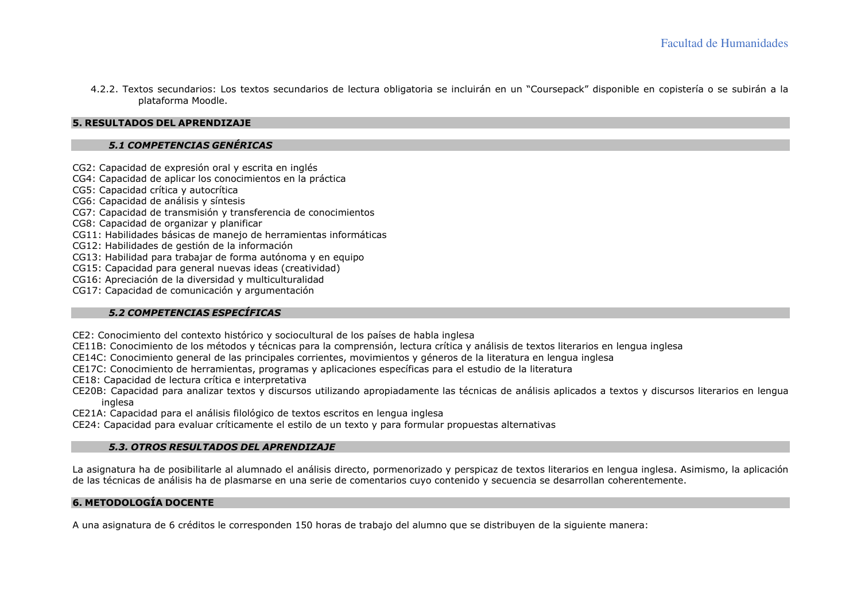4.2.2. Textos secundarios: Los textos secundarios de lectura obligatoria se incluirán en un "Coursepack" disponible en copistería o se subirán a la plataforma Moodle.

# **5. RESULTADOS DEL APRENDIZAJE**

# *5.1 COMPETENCIAS GENÉRICAS*

- CG2: Capacidad de expresión oral y escrita en inglés
- CG4: Capacidad de aplicar los conocimientos en la práctica
- CG5: Capacidad crítica y autocrítica
- CG6: Capacidad de análisis y síntesis
- CG7: Capacidad de transmisión y transferencia de conocimientos
- CG8: Capacidad de organizar y planificar
- CG11: Habilidades básicas de manejo de herramientas informáticas
- CG12: Habilidades de gestión de la información
- CG13: Habilidad para trabajar de forma autónoma y en equipo
- CG15: Capacidad para general nuevas ideas (creatividad)
- CG16: Apreciación de la diversidad y multiculturalidad
- CG17: Capacidad de comunicación y argumentación

# *5.2 COMPETENCIAS ESPECÍFICAS*

- CE2: Conocimiento del contexto histórico y sociocultural de los países de habla inglesa
- CE11B: Conocimiento de los métodos y técnicas para la comprensión, lectura crítica y análisis de textos literarios en lengua inglesa
- CE14C: Conocimiento general de las principales corrientes, movimientos y géneros de la literatura en lengua inglesa
- CE17C: Conocimiento de herramientas, programas y aplicaciones específicas para el estudio de la literatura
- CE18: Capacidad de lectura crítica e interpretativa
- CE20B: Capacidad para analizar textos y discursos utilizando apropiadamente las técnicas de análisis aplicados a textos y discursos literarios en lengua inglesa
- CE21A: Capacidad para el análisis filológico de textos escritos en lengua inglesa
- CE24: Capacidad para evaluar críticamente el estilo de un texto y para formular propuestas alternativas

## *5.3. OTROS RESULTADOS DEL APRENDIZAJE*

La asignatura ha de posibilitarle al alumnado el análisis directo, pormenorizado y perspicaz de textos literarios en lengua inglesa. Asimismo, la aplicación de las técnicas de análisis ha de plasmarse en una serie de comentarios cuyo contenido y secuencia se desarrollan coherentemente.

# **6. METODOLOGÍA DOCENTE**

A una asignatura de 6 créditos le corresponden 150 horas de trabajo del alumno que se distribuyen de la siguiente manera: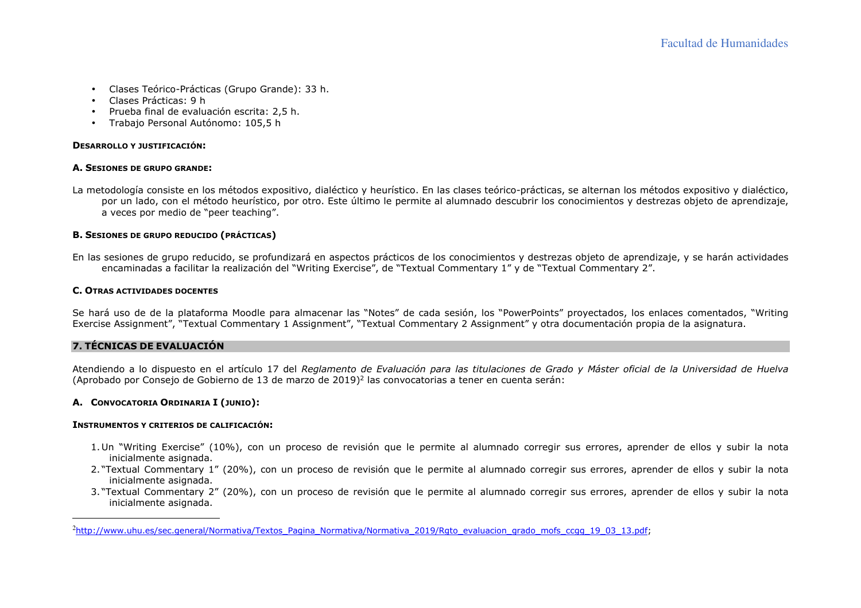- Clases Teórico-Prácticas (Grupo Grande): 33 h.
- Clases Prácticas: 9 h
- Prueba final de evaluación escrita: 2,5 h.
- Trabajo Personal Autónomo: 105,5 h

### **DESARROLLO Y JUSTIFICACIÓN:**

### **A. <sup>S</sup>ESIONES DE GRUPO GRANDE:**

La metodología consiste en los métodos expositivo, dialéctico y heurístico. En las clases teórico-prácticas, se alternan los métodos expositivo y dialéctico, por un lado, con el método heurístico, por otro. Este último le permite al alumnado descubrir los conocimientos y destrezas objeto de aprendizaje, a veces por medio de "peer teaching".

### **B. <sup>S</sup>ESIONES DE GRUPO REDUCIDO (PRÁCTICAS)**

En las sesiones de grupo reducido, se profundizará en aspectos prácticos de los conocimientos y destrezas objeto de aprendizaje, y se harán actividades encaminadas a facilitar la realización del "Writing Exercise", de "Textual Commentary 1" y de "Textual Commentary 2".

### **C. <sup>O</sup>TRAS ACTIVIDADES DOCENTES**

Se hará uso de de la plataforma Moodle para almacenar las "Notes" de cada sesión, los "PowerPoints" proyectados, los enlaces comentados, "Writing Exercise Assignment", "Textual Commentary 1 Assignment", "Textual Commentary 2 Assignment" y otra documentación propia de la asignatura.

# **7. TÉCNICAS DE EVALUACIÓN**

Atendiendo a lo dispuesto en el artículo 17 del *Reglamento de Evaluación para las titulaciones de Grado y Máster oficial de la Universidad de Huelva*(Aprobado por Consejo de Gobierno de 13 de marzo de 2019)2 las convocatorias a tener en cuenta serán:

## **A. <sup>C</sup>ONVOCATORIA ORDINARIA <sup>I</sup> (JUNIO):**

### **INSTRUMENTOS Y CRITERIOS DE CALIFICACIÓN:**

- 1.Un "Writing Exercise" (10%), con un proceso de revisión que le permite al alumnado corregir sus errores, aprender de ellos y subir la nota inicialmente asignada.
- 2. "Textual Commentary 1" (20%), con un proceso de revisión que le permite al alumnado corregir sus errores, aprender de ellos y subir la nota inicialmente asignada.
- 3. "Textual Commentary 2" (20%), con un proceso de revisión que le permite al alumnado corregir sus errores, aprender de ellos y subir la nota inicialmente asignada.

<sup>&</sup>lt;sup>2</sup>http://www.uhu.es/sec.general/Normativa/Textos\_Pagina\_Normativa/Normativa\_2019/Rgto\_evaluacion\_grado\_mofs\_ccgg\_19\_03\_13.pdf;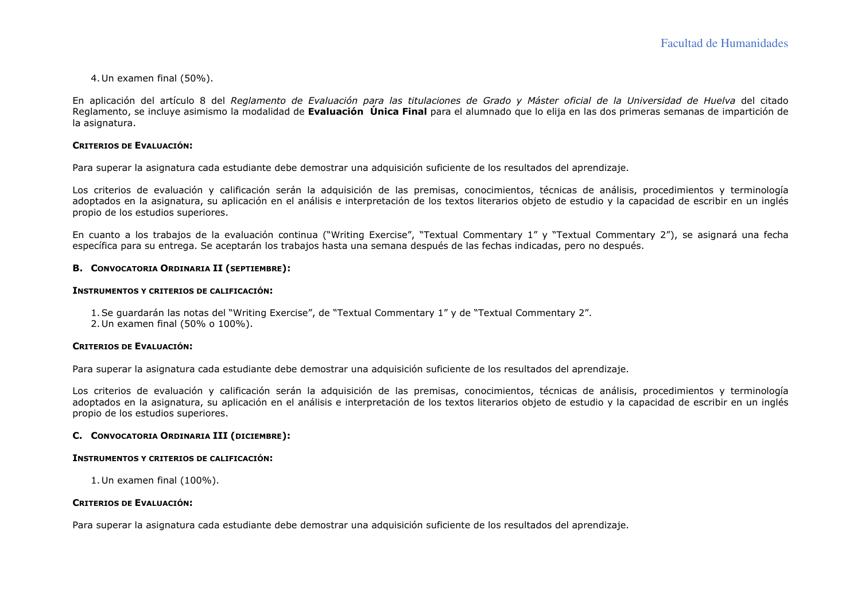4.Un examen final (50%).

En aplicación del artículo 8 del *Reglamento de Evaluación para las titulaciones de Grado y Máster oficial de la Universidad de Huelva* del citado Reglamento, se incluye asimismo la modalidad de **Evaluación Única Final** para el alumnado que lo elija en las dos primeras semanas de impartición de la asignatura.

#### **CRITERIOS DE EVALUACIÓN:**

Para superar la asignatura cada estudiante debe demostrar una adquisición suficiente de los resultados del aprendizaje.

Los criterios de evaluación y calificación serán la adquisición de las premisas, conocimientos, técnicas de análisis, procedimientos y terminología adoptados en la asignatura, su aplicación en el análisis e interpretación de los textos literarios objeto de estudio y la capacidad de escribir en un inglés propio de los estudios superiores.

En cuanto a los trabajos de la evaluación continua ("Writing Exercise", "Textual Commentary 1" y "Textual Commentary 2"), se asignará una fecha específica para su entrega. Se aceptarán los trabajos hasta una semana después de las fechas indicadas, pero no después.

## **B. <sup>C</sup>ONVOCATORIA ORDINARIA II (SEPTIEMBRE):**

#### **INSTRUMENTOS Y CRITERIOS DE CALIFICACIÓN:**

- 1.Se guardarán las notas del "Writing Exercise", de "Textual Commentary 1" y de "Textual Commentary 2".
- 2.Un examen final (50% o 100%).

#### **CRITERIOS DE EVALUACIÓN:**

Para superar la asignatura cada estudiante debe demostrar una adquisición suficiente de los resultados del aprendizaje.

Los criterios de evaluación y calificación serán la adquisición de las premisas, conocimientos, técnicas de análisis, procedimientos y terminología adoptados en la asignatura, su aplicación en el análisis e interpretación de los textos literarios objeto de estudio y la capacidad de escribir en un inglés propio de los estudios superiores.

## **C. <sup>C</sup>ONVOCATORIA ORDINARIA III (DICIEMBRE):**

#### **INSTRUMENTOS Y CRITERIOS DE CALIFICACIÓN:**

1.Un examen final (100%).

### **CRITERIOS DE EVALUACIÓN:**

Para superar la asignatura cada estudiante debe demostrar una adquisición suficiente de los resultados del aprendizaje.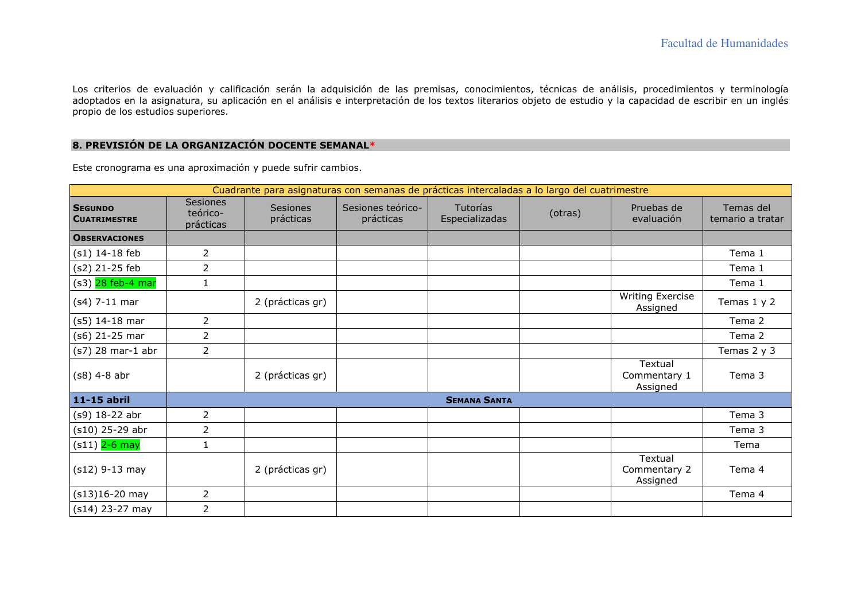Los criterios de evaluación y calificación serán la adquisición de las premisas, conocimientos, técnicas de análisis, procedimientos y terminología adoptados en la asignatura, su aplicación en el análisis e interpretación de los textos literarios objeto de estudio y la capacidad de escribir en un inglés propio de los estudios superiores.

### **8. PREVISIÓN DE LA ORGANIZACIÓN DOCENTE SEMANAL\***

Este cronograma es una aproximación y puede sufrir cambios.

| Cuadrante para asignaturas con semanas de prácticas intercaladas a lo largo del cuatrimestre |                                          |                              |                                |                            |         |                                     |                               |
|----------------------------------------------------------------------------------------------|------------------------------------------|------------------------------|--------------------------------|----------------------------|---------|-------------------------------------|-------------------------------|
| <b>SEGUNDO</b><br><b>CUATRIMESTRE</b>                                                        | <b>Sesiones</b><br>teórico-<br>prácticas | <b>Sesiones</b><br>prácticas | Sesiones teórico-<br>prácticas | Tutorías<br>Especializadas | (otras) | Pruebas de<br>evaluación            | Temas del<br>temario a tratar |
| <b>OBSERVACIONES</b>                                                                         |                                          |                              |                                |                            |         |                                     |                               |
| (s1) 14-18 feb                                                                               | $\overline{2}$                           |                              |                                |                            |         |                                     | Tema 1                        |
| (s2) 21-25 feb                                                                               | $\overline{2}$                           |                              |                                |                            |         |                                     | Tema 1                        |
| (s3) 28 feb-4 mar                                                                            | $\mathbf{1}$                             |                              |                                |                            |         |                                     | Tema 1                        |
| $(s4)$ 7-11 mar                                                                              |                                          | 2 (prácticas gr)             |                                |                            |         | <b>Writing Exercise</b><br>Assigned | Temas 1 y 2                   |
| $(s5)$ 14-18 mar                                                                             | $\overline{2}$                           |                              |                                |                            |         |                                     | Tema 2                        |
| (s6) 21-25 mar                                                                               | $\overline{2}$                           |                              |                                |                            |         |                                     | Tema 2                        |
| $(s7)$ 28 mar-1 abr                                                                          | $\overline{2}$                           |                              |                                |                            |         |                                     | Temas 2 y 3                   |
| $(s8)$ 4-8 abr                                                                               |                                          | 2 (prácticas gr)             |                                |                            |         | Textual<br>Commentary 1<br>Assigned | Tema 3                        |
| 11-15 abril                                                                                  |                                          |                              |                                | <b>SEMANA SANTA</b>        |         |                                     |                               |
| (s9) 18-22 abr                                                                               | $\overline{2}$                           |                              |                                |                            |         |                                     | Tema 3                        |
| (s10) 25-29 abr                                                                              | $\overline{2}$                           |                              |                                |                            |         |                                     | Tema 3                        |
| (s11) 2-6 may                                                                                | $\mathbf{1}$                             |                              |                                |                            |         |                                     | Tema                          |
| $(s12)$ 9-13 may                                                                             |                                          | 2 (prácticas gr)             |                                |                            |         | Textual<br>Commentary 2<br>Assigned | Tema 4                        |
| $(s13)16-20$ may                                                                             | $\overline{2}$                           |                              |                                |                            |         |                                     | Tema 4                        |
| $(s14)$ 23-27 may                                                                            | $\overline{2}$                           |                              |                                |                            |         |                                     |                               |